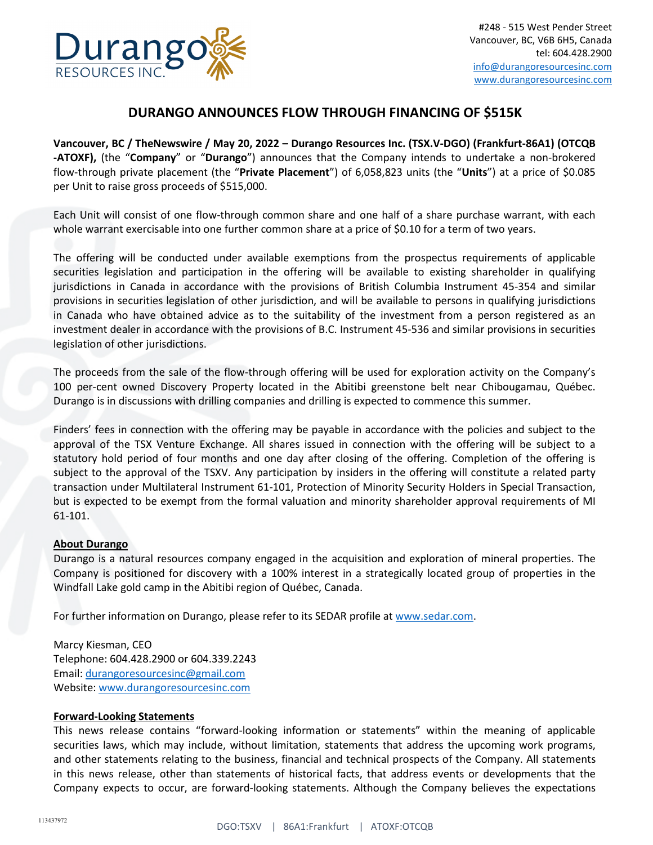

## **DURANGO ANNOUNCES FLOW THROUGH FINANCING OF \$515K**

**Vancouver, BC / TheNewswire / May 20, 2022 – Durango Resources Inc. (TSX.V-DGO) (Frankfurt-86A1) (OTCQB -ATOXF),** (the "**Company**" or "**Durango**") announces that the Company intends to undertake a non-brokered flow-through private placement (the "**Private Placement**") of 6,058,823 units (the "**Units**") at a price of \$0.085 per Unit to raise gross proceeds of \$515,000.

Each Unit will consist of one flow-through common share and one half of a share purchase warrant, with each whole warrant exercisable into one further common share at a price of \$0.10 for a term of two years.

The offering will be conducted under available exemptions from the prospectus requirements of applicable securities legislation and participation in the offering will be available to existing shareholder in qualifying jurisdictions in Canada in accordance with the provisions of British Columbia Instrument 45-354 and similar provisions in securities legislation of other jurisdiction, and will be available to persons in qualifying jurisdictions in Canada who have obtained advice as to the suitability of the investment from a person registered as an investment dealer in accordance with the provisions of B.C. Instrument 45-536 and similar provisions in securities legislation of other jurisdictions.

The proceeds from the sale of the flow-through offering will be used for exploration activity on the Company's 100 per-cent owned Discovery Property located in the Abitibi greenstone belt near Chibougamau, Québec. Durango is in discussions with drilling companies and drilling is expected to commence this summer.

Finders' fees in connection with the offering may be payable in accordance with the policies and subject to the approval of the TSX Venture Exchange. All shares issued in connection with the offering will be subject to a statutory hold period of four months and one day after closing of the offering. Completion of the offering is subject to the approval of the TSXV. Any participation by insiders in the offering will constitute a related party transaction under Multilateral Instrument 61-101, Protection of Minority Security Holders in Special Transaction, but is expected to be exempt from the formal valuation and minority shareholder approval requirements of MI 61-101.

## **About Durango**

Durango is a natural resources company engaged in the acquisition and exploration of mineral properties. The Company is positioned for discovery with a 100% interest in a strategically located group of properties in the Windfall Lake gold camp in the Abitibi region of Québec, Canada.

For further information on Durango, please refer to its SEDAR profile at [www.sedar.com.](http://www.sedar.com/)

Marcy Kiesman, CEO Telephone: 604.428.2900 or 604.339.2243 Email: [durangoresourcesinc@gmail.com](mailto:durangoresourcesinc@gmail.com) Website[: www.durangoresourcesinc.com](http://www.durangoresourcesinc.com/)

## **Forward-Looking Statements**

This news release contains "forward-looking information or statements" within the meaning of applicable securities laws, which may include, without limitation, statements that address the upcoming work programs, and other statements relating to the business, financial and technical prospects of the Company. All statements in this news release, other than statements of historical facts, that address events or developments that the Company expects to occur, are forward-looking statements. Although the Company believes the expectations